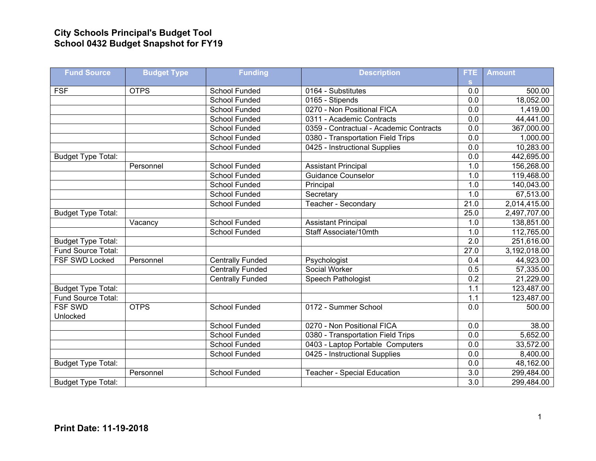## **City Schools Principal's Budget Tool School 0432 Budget Snapshot for FY19**

| <b>Fund Source</b>        | <b>Budget Type</b> | <b>Funding</b>          | <b>Description</b>                                      | FTE              | <b>Amount</b> |
|---------------------------|--------------------|-------------------------|---------------------------------------------------------|------------------|---------------|
| <b>FSF</b>                | <b>OTPS</b>        | School Funded           | 0164 - Substitutes                                      | s.<br>0.0        | 500.00        |
|                           |                    | <b>School Funded</b>    | 0165 - Stipends                                         | $\overline{0.0}$ | 18,052.00     |
|                           |                    | School Funded           | 0270 - Non Positional FICA                              | 0.0              | 1,419.00      |
|                           |                    | <b>School Funded</b>    | 0311 - Academic Contracts                               | 0.0              | 44,441.00     |
|                           |                    | <b>School Funded</b>    | 0359 - Contractual - Academic Contracts                 | 0.0              | 367,000.00    |
|                           |                    | School Funded           | 0380 - Transportation Field Trips                       | 0.0              | 1,000.00      |
|                           |                    | School Funded           | 0425 - Instructional Supplies                           | 0.0              | 10,283.00     |
|                           |                    |                         |                                                         | 0.0              | 442,695.00    |
| <b>Budget Type Total:</b> |                    | School Funded           |                                                         | 1.0              | 156,268.00    |
|                           | Personnel          | School Funded           | <b>Assistant Principal</b><br><b>Guidance Counselor</b> | 1.0              |               |
|                           |                    | <b>School Funded</b>    |                                                         | 1.0              | 119,468.00    |
|                           |                    |                         | Principal                                               |                  | 140,043.00    |
|                           |                    | School Funded           | Secretary                                               | 1.0              | 67,513.00     |
|                           |                    | <b>School Funded</b>    | Teacher - Secondary                                     | 21.0             | 2,014,415.00  |
| <b>Budget Type Total:</b> |                    |                         |                                                         | 25.0             | 2,497,707.00  |
|                           | Vacancy            | School Funded           | <b>Assistant Principal</b>                              | 1.0              | 138,851.00    |
|                           |                    | <b>School Funded</b>    | Staff Associate/10mth                                   | 1.0              | 112,765.00    |
| <b>Budget Type Total:</b> |                    |                         |                                                         | $\overline{2.0}$ | 251,616.00    |
| Fund Source Total:        |                    |                         |                                                         | 27.0             | 3,192,018.00  |
| FSF SWD Locked            | Personnel          | <b>Centrally Funded</b> | Psychologist                                            | 0.4              | 44,923.00     |
|                           |                    | <b>Centrally Funded</b> | Social Worker                                           | 0.5              | 57,335.00     |
|                           |                    | <b>Centrally Funded</b> | Speech Pathologist                                      | $\overline{0.2}$ | 21,229.00     |
| <b>Budget Type Total:</b> |                    |                         |                                                         | 1.1              | 123,487.00    |
| Fund Source Total:        |                    |                         |                                                         | 1.1              | 123,487.00    |
| FSF SWD                   | <b>OTPS</b>        | <b>School Funded</b>    | 0172 - Summer School                                    | 0.0              | 500.00        |
| Unlocked                  |                    |                         |                                                         |                  |               |
|                           |                    | School Funded           | 0270 - Non Positional FICA                              | 0.0              | 38.00         |
|                           |                    | <b>School Funded</b>    | 0380 - Transportation Field Trips                       | 0.0              | 5,652.00      |
|                           |                    | School Funded           | 0403 - Laptop Portable Computers                        | 0.0              | 33,572.00     |
|                           |                    | <b>School Funded</b>    | 0425 - Instructional Supplies                           | 0.0              | 8,400.00      |
| Budget Type Total:        |                    |                         |                                                         | $\overline{0.0}$ | 48,162.00     |
|                           | Personnel          | School Funded           | <b>Teacher - Special Education</b>                      | 3.0              | 299,484.00    |
| <b>Budget Type Total:</b> |                    |                         |                                                         | $\overline{3.0}$ | 299,484.00    |